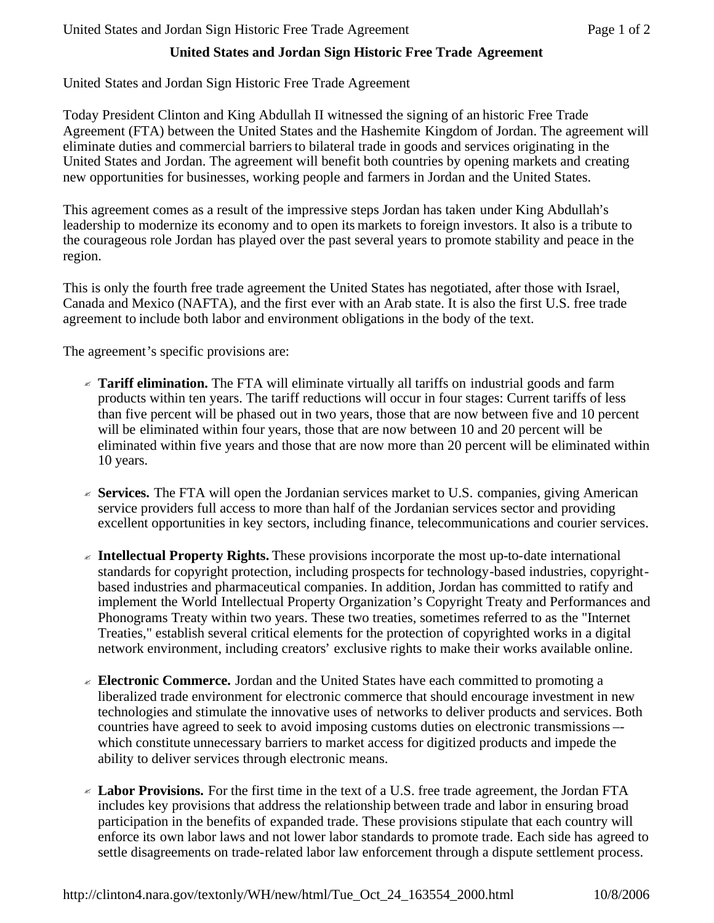## **United States and Jordan Sign Historic Free Trade Agreement**

## United States and Jordan Sign Historic Free Trade Agreement

Today President Clinton and King Abdullah II witnessed the signing of an historic Free Trade Agreement (FTA) between the United States and the Hashemite Kingdom of Jordan. The agreement will eliminate duties and commercial barriers to bilateral trade in goods and services originating in the United States and Jordan. The agreement will benefit both countries by opening markets and creating new opportunities for businesses, working people and farmers in Jordan and the United States.

This agreement comes as a result of the impressive steps Jordan has taken under King Abdullah's leadership to modernize its economy and to open its markets to foreign investors. It also is a tribute to the courageous role Jordan has played over the past several years to promote stability and peace in the region.

This is only the fourth free trade agreement the United States has negotiated, after those with Israel, Canada and Mexico (NAFTA), and the first ever with an Arab state. It is also the first U.S. free trade agreement to include both labor and environment obligations in the body of the text.

The agreement's specific provisions are:

- ? **Tariff elimination.** The FTA will eliminate virtually all tariffs on industrial goods and farm products within ten years. The tariff reductions will occur in four stages: Current tariffs of less than five percent will be phased out in two years, those that are now between five and 10 percent will be eliminated within four years, those that are now between 10 and 20 percent will be eliminated within five years and those that are now more than 20 percent will be eliminated within 10 years.
- $\le$  **Services.** The FTA will open the Jordanian services market to U.S. companies, giving American service providers full access to more than half of the Jordanian services sector and providing excellent opportunities in key sectors, including finance, telecommunications and courier services.
- ? **Intellectual Property Rights.** These provisions incorporate the most up-to-date international standards for copyright protection, including prospects for technology-based industries, copyrightbased industries and pharmaceutical companies. In addition, Jordan has committed to ratify and implement the World Intellectual Property Organization's Copyright Treaty and Performances and Phonograms Treaty within two years. These two treaties, sometimes referred to as the "Internet Treaties," establish several critical elements for the protection of copyrighted works in a digital network environment, including creators' exclusive rights to make their works available online.
- $\leq$  **Electronic Commerce.** Jordan and the United States have each committed to promoting a liberalized trade environment for electronic commerce that should encourage investment in new technologies and stimulate the innovative uses of networks to deliver products and services. Both countries have agreed to seek to avoid imposing customs duties on electronic transmissions – which constitute unnecessary barriers to market access for digitized products and impede the ability to deliver services through electronic means.
- ? **Labor Provisions.** For the first time in the text of a U.S. free trade agreement, the Jordan FTA includes key provisions that address the relationship between trade and labor in ensuring broad participation in the benefits of expanded trade. These provisions stipulate that each country will enforce its own labor laws and not lower labor standards to promote trade. Each side has agreed to settle disagreements on trade-related labor law enforcement through a dispute settlement process.